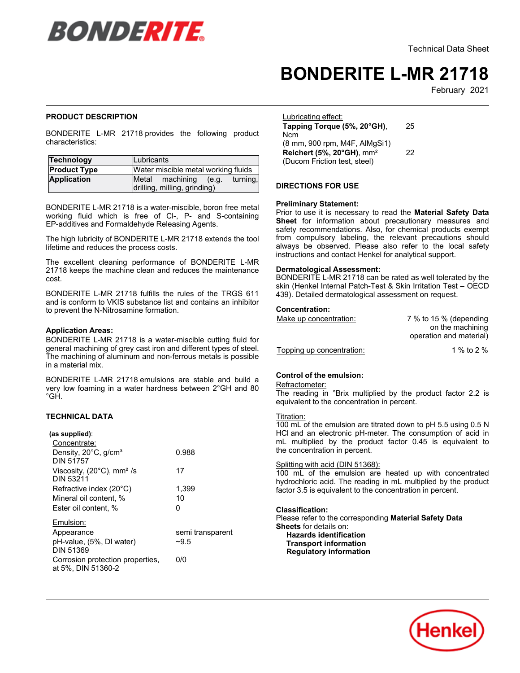

# **BONDERITE L-MR 21718**

February 2021

## **PRODUCT DESCRIPTION**

BONDERITE L-MR 21718 provides the following product characteristics:

| Technology          | Lubricants                                                           |  |
|---------------------|----------------------------------------------------------------------|--|
| <b>Product Type</b> | Water miscible metal working fluids                                  |  |
| <b>Application</b>  | Metal machining<br>turning,<br>(e.q.<br>drilling, milling, grinding) |  |

BONDERITE L-MR 21718 is a water-miscible, boron free metal working fluid which is free of Cl-, P- and S-containing working hald which is nec of GP, in a and  $\chi$ <br>EP-additives and Formaldehyde Releasing Agents.

The high lubricity of BONDERITE L-MR 21718 extends the tool lifetime and reduces the process costs.

The excellent cleaning performance of BONDERITE L-MR 21718 keeps the machine clean and reduces the maintenance cost.

BONDERITE L-MR 21718 fulfills the rules of the TRGS 611 and is conform to VKIS substance list and contains an inhibitor to prevent the N-Nitrosamine formation.

## **Application Areas:**

BONDERITE L-MR 21718 is a water-miscible cutting fluid for general machining of grey cast iron and different types of steel. The machining of aluminum and non-ferrous metals is possible inc machining of<br>in a material mix.

BONDERITE L-MR 21718 emulsions are stable and build a very low foaming in a water hardness between 2°GH and 80 vury<br>°GH.

# **TECHNICAL DATA**

#### **(as supplied)**: re expprese.<br>Concentrate:

| Concentrate:                                                        |                  |
|---------------------------------------------------------------------|------------------|
| Density, 20°C, g/cm <sup>3</sup><br><b>DIN 51757</b>                | 0.988            |
| Viscosity, $(20^{\circ}C)$ , mm <sup>2</sup> /s<br><b>DIN 53211</b> | 17               |
| Refractive index $(20^{\circ}C)$                                    | 1,399            |
| Mineral oil content. %                                              | 10               |
| Ester oil content. %                                                | O                |
| Emulsion:                                                           |                  |
| Appearance                                                          | semi transparent |
| pH-value, (5%, DI water)                                            | $-9.5$           |
| <b>DIN 51369</b>                                                    |                  |
| Corrosion protection properties.                                    | 0/0              |
| at 5%, DIN 51360-2                                                  |                  |

| Lubricating effect:<br>Tapping Torque (5%, 20°GH), | 25 |
|----------------------------------------------------|----|
| Ncm                                                |    |
| (8 mm, 900 rpm, M4F, AlMgSi1)                      |    |
| Reichert (5%, 20°GH), mm <sup>2</sup>              | 22 |
| (Ducom Friction test, steel)                       |    |

#### **DIRECTIONS FOR USE**

#### **Preliminary Statement:**

Prior to use it is necessary to read the **Material Safety Data Sheet** for information about precautionary measures and safety recommendations. Also, for chemical products exempt from compulsory labeling, the relevant precautions should always be observed. Please also refer to the local safety instructions and contact Henkel for analytical support.

## **Dermatological Assessment:**

BONDERITE L-MR 21718 can be rated as well tolerated by the skin (Henkel Internal Patch-Test & Skin Irritation Test – OECD 439). Detailed dermatological assessment on request.

#### **Concentration:**

| Make up concentration:    | 7 % to 15 % (depending<br>on the machining<br>operation and material) |
|---------------------------|-----------------------------------------------------------------------|
| Topping up concentration: | 1 % to 2 %                                                            |

# **Control of the emulsion:**

# Refractometer:

**The reading in °Brix multiplied by the product factor 2.2 is** Fire reading in this maniphed by the procent.

# Titration:

100 mL of the emulsion are titrated down to pH 5.5 using 0.5 N HCl and an electronic pH-meter. The consumption of acid in mL multiplied by the product factor 0.45 is equivalent to The maniphed by the product the concentration in percent.

## Splitting with acid (DIN 51368):

100 mL of the emulsion are heated up with concentrated hydrochloric acid. The reading in mL multiplied by the product factor 3.5 is equivalent to the concentration in percent.

#### **Classification:**

Please refer to the corresponding **Material Safety Data Sheets** for details on: **Hazards identification**

 **Transport information Regulatory information**